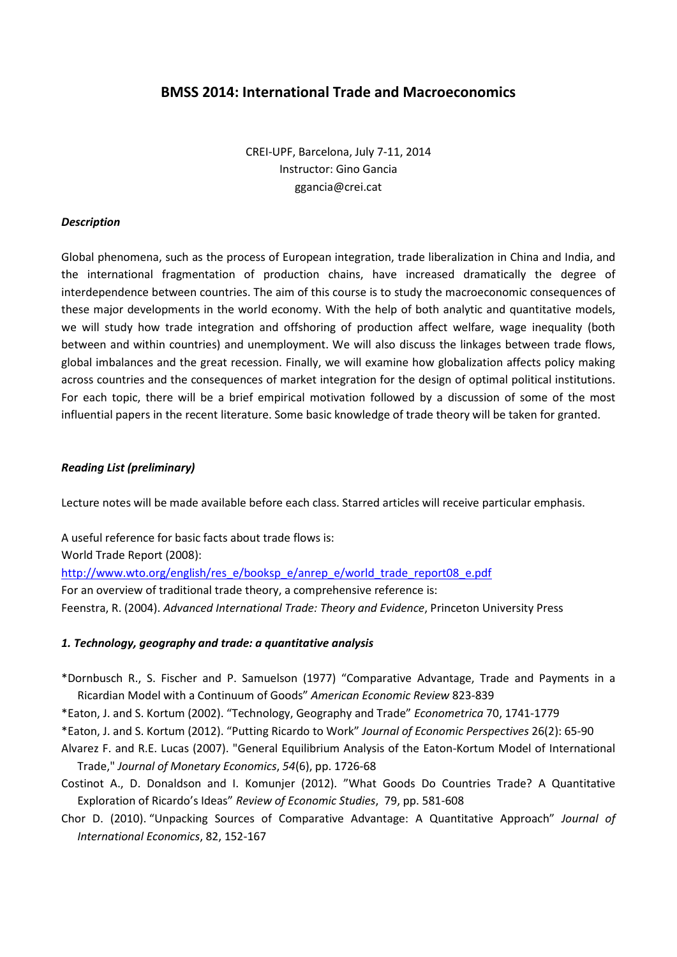# **BMSS 2014: International Trade and Macroeconomics**

CREI-UPF, Barcelona, July 7-11, 2014 Instructor: Gino Gancia ggancia@crei.cat

## *Description*

Global phenomena, such as the process of European integration, trade liberalization in China and India, and the international fragmentation of production chains, have increased dramatically the degree of interdependence between countries. The aim of this course is to study the macroeconomic consequences of these major developments in the world economy. With the help of both analytic and quantitative models, we will study how trade integration and offshoring of production affect welfare, wage inequality (both between and within countries) and unemployment. We will also discuss the linkages between trade flows, global imbalances and the great recession. Finally, we will examine how globalization affects policy making across countries and the consequences of market integration for the design of optimal political institutions. For each topic, there will be a brief empirical motivation followed by a discussion of some of the most influential papers in the recent literature. Some basic knowledge of trade theory will be taken for granted.

## *Reading List (preliminary)*

Lecture notes will be made available before each class. Starred articles will receive particular emphasis.

A useful reference for basic facts about trade flows is: World Trade Report (2008): [http://www.wto.org/english/res\\_e/booksp\\_e/anrep\\_e/world\\_trade\\_report08\\_e.pdf](http://www.wto.org/english/res_e/booksp_e/anrep_e/world_trade_report08_e.pdf) For an overview of traditional trade theory, a comprehensive reference is: Feenstra, R. (2004). *Advanced International Trade: Theory and Evidence*, Princeton University Press

#### *1. Technology, geography and trade: a quantitative analysis*

\*Dornbusch R., S. Fischer and P. Samuelson (1977) "Comparative Advantage, Trade and Payments in a Ricardian Model with a Continuum of Goods" *American Economic Review* 823-839

\*Eaton, J. and S. Kortum (2002). "Technology, Geography and Trade" *Econometrica* 70, 1741-1779

- \*Eaton, J. and S. Kortum (2012). "Putting Ricardo to Work" *Journal of Economic Perspectives* 26(2): 65-90
- Alvarez F. and R.E. Lucas (2007). "General Equilibrium Analysis of the Eaton-Kortum Model of International Trade," *Journal of Monetary Economics*, *54*(6), pp. 1726-68
- Costinot A., D. Donaldson and I. Komunjer (2012). "What Goods Do Countries Trade? A Quantitative Exploration of Ricardo's Ideas" *Review of Economic Studies*, 79, pp. 581-608
- Chor D. (2010). "Unpacking Sources of Comparative Advantage: A Quantitative Approach" *Journal of International Economics*, 82, 152-167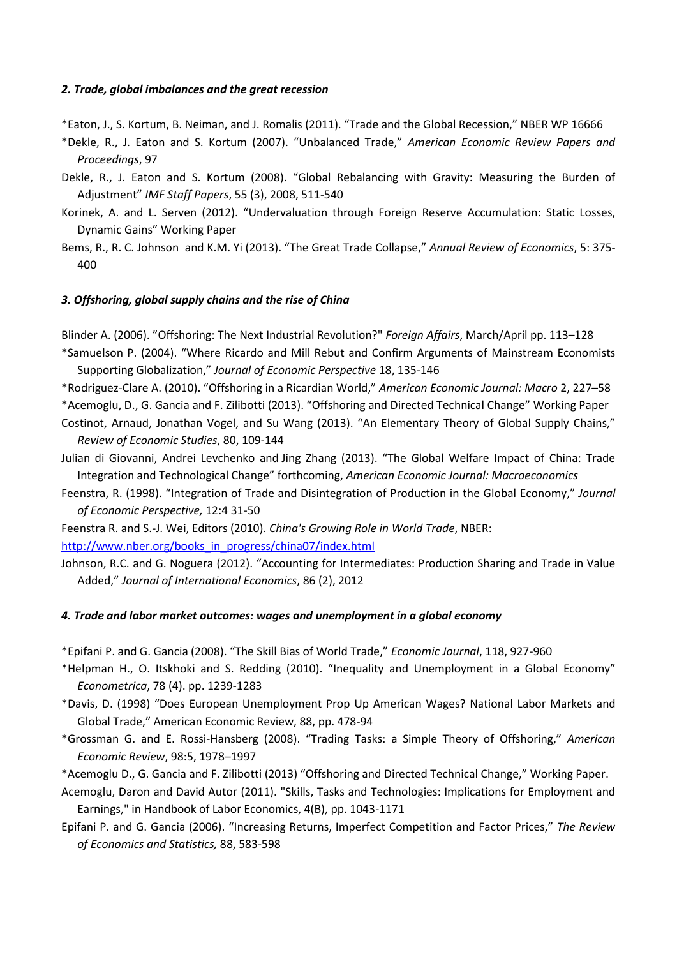#### *2. Trade, global imbalances and the great recession*

\*Eaton, J., S. Kortum, B. Neiman, and J. Romalis (2011). "Trade and the Global Recession," NBER WP 16666

- \*Dekle, R., J. Eaton and S. Kortum (2007). "Unbalanced Trade," *American Economic Review Papers and Proceedings*, 97
- Dekle, R., J. Eaton and S. Kortum (2008). "Global Rebalancing with Gravity: Measuring the Burden of Adjustment" *IMF Staff Papers*, 55 (3), 2008, 511-540
- Korinek, A. and L. Serven (2012). "Undervaluation through Foreign Reserve Accumulation: Static Losses, Dynamic Gains" Working Paper
- Bems, R., R. C. Johnson and K.M. Yi (2013). "The Great Trade Collapse," *Annual Review of Economics*, 5: 375- 400

# *3. Offshoring, global supply chains and the rise of China*

Blinder A. (2006). "Offshoring: The Next Industrial Revolution?" *Foreign Affairs*, March/April pp. 113–128

- \*Samuelson P. (2004). "Where Ricardo and Mill Rebut and Confirm Arguments of Mainstream Economists Supporting Globalization," *Journal of Economic Perspective* 18, 135-146
- \*Rodriguez-Clare A. (2010). "Offshoring in a Ricardian World," *American Economic Journal: Macro* 2, 227–58
- \*Acemoglu, D., G. Gancia and F. Zilibotti (2013). "Offshoring and Directed Technical Change" Working Paper
- Costinot, Arnaud, Jonathan Vogel, and Su Wang (2013). "An Elementary Theory of Global Supply Chains," *Review of Economic Studies*, 80, 109-144
- Julian di Giovanni, Andrei Levchenko and Jing Zhang (2013). "The Global Welfare Impact of China: Trade Integration and Technological Change" forthcoming, *American Economic Journal: Macroeconomics*
- Feenstra, R. (1998). "Integration of Trade and Disintegration of Production in the Global Economy," *Journal of Economic Perspective,* 12:4 31-50

Feenstra R. and S.-J. Wei, Editors (2010). *China's Growing Role in World Trade*, NBER:

[http://www.nber.org/books\\_in\\_progress/china07/index.html](http://www.nber.org/books_in_progress/china07/index.html)

Johnson, R.C. and G. Noguera (2012). "Accounting for Intermediates: Production Sharing and Trade in Value Added," *Journal of International Economics*, 86 (2), 2012

# *4. Trade and labor market outcomes: wages and unemployment in a global economy*

\*Epifani P. and G. Gancia (2008). "The Skill Bias of World Trade," *Economic Journal*, 118, 927-960

- \*Helpman H., O. Itskhoki and S. Redding (2010). "Inequality and Unemployment in a Global Economy" *Econometrica*, 78 (4). pp. 1239-1283
- \*Davis, D. (1998) "Does European Unemployment Prop Up American Wages? National Labor Markets and Global Trade," American Economic Review, 88, pp. 478-94
- \*Grossman G. and E. Rossi-Hansberg (2008). "Trading Tasks: a Simple Theory of Offshoring," *American Economic Review*, 98:5, 1978–1997
- \*Acemoglu D., G. Gancia and F. Zilibotti (2013) "Offshoring and Directed Technical Change," Working Paper.
- Acemoglu, Daron and David Autor (2011). "Skills, Tasks and Technologies: Implications for Employment and Earnings," in Handbook of Labor Economics, 4(B), pp. 1043-1171
- Epifani P. and G. Gancia (2006). "Increasing Returns, Imperfect Competition and Factor Prices," *The Review of Economics and Statistics,* 88, 583-598